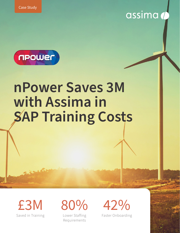

# **nPower Saves 3M with Assima in SAP Training Costs**

Saved in Training £3M 80% 42%

Lower Staffing Requirements

Faster Onboarding

assima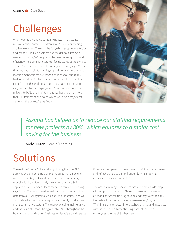## Challenges

When leading UK energy company npower migrated its mission-critical enterprise systems to SAP, a major training challenge ensued. The organization, which supplies electricity and gas to 5.1 million business and residential customers, needed to train 4,500 people on the new system quickly and efficiently, including key customer-facing teams at the contact center. Andy Hurren, Head of Learning at npower, says, "At the time, we had no digital training capabilities and no functional learning management system, which meant all our people had to be trained in classrooms using a traditional training client." Using this traditional approach, training costs were very high for the SAP deployment. "The training client cost millions to build and maintain, and we had a team of more than 140 trainers at one point, which was also a major cost center for the project," says Andy.



*Assima has helped us to reduce our staffing requirements for new projects by 80%, which equates to a major cost saving for the business.*

Andy Hurren, Head of Learning

## Solutions

The Assima Cloning Suite works by cloning the core SAP applications and building training modules that guide endusers through key tasks and processes. "Assima training modules look and feel exactly the same as the live SAP application, which means team members can learn by doing," says Andy. "There's no need to maintain the clones with live data from our SAP systems, which saves a lot of time, and we can update training materials quickly and easily to reflect any changes in the live system. The ease of ongoing maintenance and the value of lessons being available 24/7 throughout the training period and during Business as Usual is a considerable time saver compared to the old way of training where classes and refreshers had to be run frequently with a training environment always available."

The Assima training clones were fast and simple to develop with support from Assima. "Two or three of our developers attended an Assima training session and they were then able to create all the training materials we needed," says Andy. "Training is broken down into bitesized chunks, and integrated with video clips and other training content that helps employees gain the skills they need."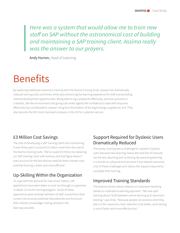*Here was a system that would allow me to train new staff on SAP without the astronomical cost of building and maintaining a SAP training client. Assima really was the answer to our prayers.*

Andy Hurren, Head of Learning

### Benefits

By replacing traditional classroom training with the Assima Cloning Suite, npower has dramatically reduced training costs and times, while also enhancing the learning experience for staff and providing internal development opportunities. Being able to log complaints effectively, practise scenarios in a realistic, life-like environment and giving call center agents the confidence to deal with enquiries effectively has contributed to npower rising from the bottom of the big 6 energy suppliers to 2nd. They also became the 5th most improved company in the UK for customer service.

#### £3 Million Cost Savings

The cost of developing a SAP training client and maintaining it over three years is around £3 million more than the cost of the Assima Cloning Suite. "We've saved £3 million by replacing our SAP training client with Assima, and that figure doesn't even account for the fact that we need far fewer trainers now and that training is faster and more efficient."

#### Up-Skilling Within the Organization

To cope with the demand for new smart meters, 100 apprentices have been taken on and run through a supportive in-depth 12 month training program. Some of these apprentices were existing members of staff, moved from their current role to avoid potential redundancies and to ensure their industry knowledge is being utilized in the best way possible.

#### Support Required for Dyslexic Users Dramatically Reduced

Previously, training was a challenge for npower's dyslexic users because new learning, heavy text and lots of manuals can be very daunting and confusing. By practising learning in a hands-on, physical environment it has helped overcome a lot of these challenges and reduce the support required to complete their training.

#### Improved Training Standards

The Assima clones reduce reliance on classroom teaching based on a blended eLearning approach. "We now split training about 70/30 between online learning and classroom training," says Andy. "Because people can practice what they learn in the classroom, their retention is far better, and training is much faster and more effective too."